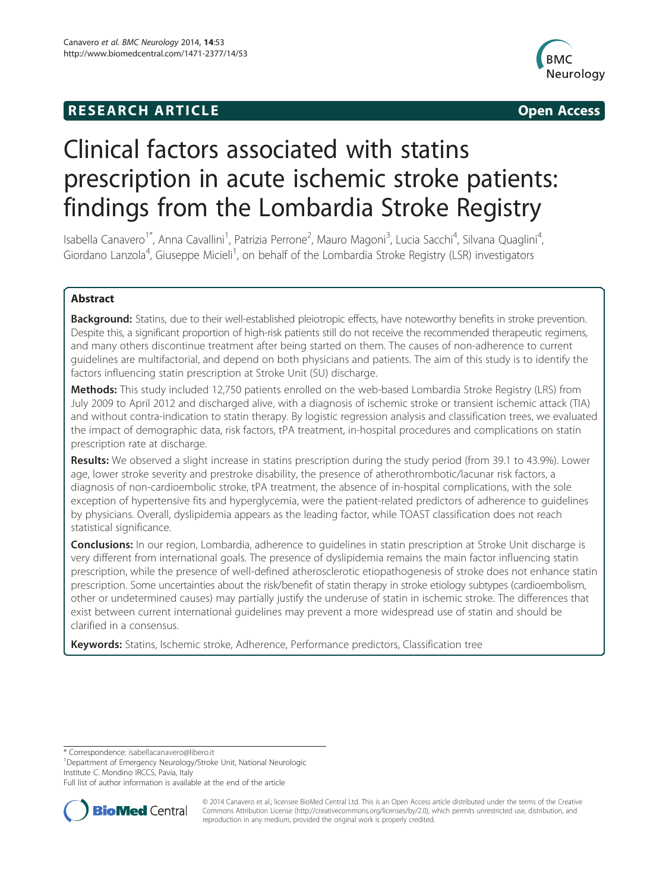# **RESEARCH ARTICLE Example 20 and 20 and 20 and 20 and 20 and 20 and 20 and 20 and 20 and 20 and 20 and 20 and 20 and 20 and 20 and 20 and 20 and 20 and 20 and 20 and 20 and 20 and 20 and 20 and 20 and 20 and 20 and 20 an**



# Clinical factors associated with statins prescription in acute ischemic stroke patients: findings from the Lombardia Stroke Registry

Isabella Canavero<sup>1\*</sup>, Anna Cavallini<sup>1</sup>, Patrizia Perrone<sup>2</sup>, Mauro Magoni<sup>3</sup>, Lucia Sacchi<sup>4</sup>, Silvana Quaglini<sup>4</sup> , Giordano Lanzola<sup>4</sup>, Giuseppe Micieli<sup>1</sup>, on behalf of the Lombardia Stroke Registry (LSR) investigators

# Abstract

**Background:** Statins, due to their well-established pleiotropic effects, have noteworthy benefits in stroke prevention. Despite this, a significant proportion of high-risk patients still do not receive the recommended therapeutic regimens, and many others discontinue treatment after being started on them. The causes of non-adherence to current guidelines are multifactorial, and depend on both physicians and patients. The aim of this study is to identify the factors influencing statin prescription at Stroke Unit (SU) discharge.

Methods: This study included 12,750 patients enrolled on the web-based Lombardia Stroke Registry (LRS) from July 2009 to April 2012 and discharged alive, with a diagnosis of ischemic stroke or transient ischemic attack (TIA) and without contra-indication to statin therapy. By logistic regression analysis and classification trees, we evaluated the impact of demographic data, risk factors, tPA treatment, in-hospital procedures and complications on statin prescription rate at discharge.

Results: We observed a slight increase in statins prescription during the study period (from 39.1 to 43.9%). Lower age, lower stroke severity and prestroke disability, the presence of atherothrombotic/lacunar risk factors, a diagnosis of non-cardioembolic stroke, tPA treatment, the absence of in-hospital complications, with the sole exception of hypertensive fits and hyperglycemia, were the patient-related predictors of adherence to guidelines by physicians. Overall, dyslipidemia appears as the leading factor, while TOAST classification does not reach statistical significance.

Conclusions: In our region, Lombardia, adherence to quidelines in statin prescription at Stroke Unit discharge is very different from international goals. The presence of dyslipidemia remains the main factor influencing statin prescription, while the presence of well-defined atherosclerotic etiopathogenesis of stroke does not enhance statin prescription. Some uncertainties about the risk/benefit of statin therapy in stroke etiology subtypes (cardioembolism, other or undetermined causes) may partially justify the underuse of statin in ischemic stroke. The differences that exist between current international guidelines may prevent a more widespread use of statin and should be clarified in a consensus.

Keywords: Statins, Ischemic stroke, Adherence, Performance predictors, Classification tree

\* Correspondence: [isabellacanavero@libero.it](mailto:isabellacanavero@libero.it) <sup>1</sup>

<sup>1</sup>Department of Emergency Neurology/Stroke Unit, National Neurologic Institute C. Mondino IRCCS, Pavia, Italy

Full list of author information is available at the end of the article



© 2014 Canavero et al.; licensee BioMed Central Ltd. This is an Open Access article distributed under the terms of the Creative Commons Attribution License [\(http://creativecommons.org/licenses/by/2.0\)](http://creativecommons.org/licenses/by/2.0), which permits unrestricted use, distribution, and reproduction in any medium, provided the original work is properly credited.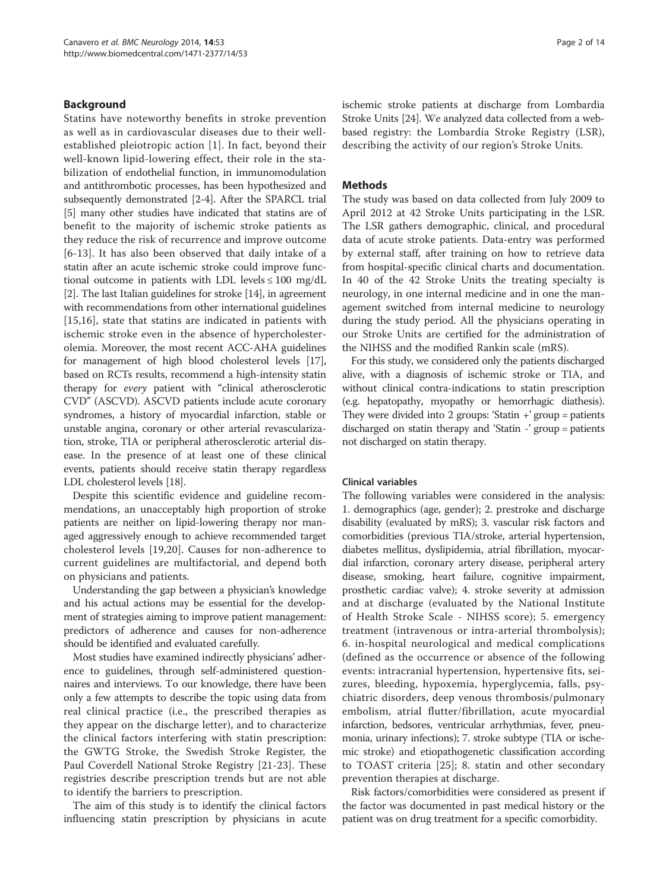# Background

Statins have noteworthy benefits in stroke prevention as well as in cardiovascular diseases due to their wellestablished pleiotropic action [[1](#page-11-0)]. In fact, beyond their well-known lipid-lowering effect, their role in the stabilization of endothelial function, in immunomodulation and antithrombotic processes, has been hypothesized and subsequently demonstrated [[2-4](#page-11-0)]. After the SPARCL trial [[5\]](#page-11-0) many other studies have indicated that statins are of benefit to the majority of ischemic stroke patients as they reduce the risk of recurrence and improve outcome [[6-13\]](#page-11-0). It has also been observed that daily intake of a statin after an acute ischemic stroke could improve functional outcome in patients with LDL levels  $\leq 100$  mg/dL [[2\]](#page-11-0). The last Italian guidelines for stroke [\[14\]](#page-11-0), in agreement with recommendations from other international guidelines [[15,16](#page-11-0)], state that statins are indicated in patients with ischemic stroke even in the absence of hypercholesterolemia. Moreover, the most recent ACC-AHA guidelines for management of high blood cholesterol levels [[17](#page-11-0)], based on RCTs results, recommend a high-intensity statin therapy for every patient with "clinical atherosclerotic CVD" (ASCVD). ASCVD patients include acute coronary syndromes, a history of myocardial infarction, stable or unstable angina, coronary or other arterial revascularization, stroke, TIA or peripheral atherosclerotic arterial disease. In the presence of at least one of these clinical events, patients should receive statin therapy regardless LDL cholesterol levels [[18](#page-11-0)].

Despite this scientific evidence and guideline recommendations, an unacceptably high proportion of stroke patients are neither on lipid-lowering therapy nor managed aggressively enough to achieve recommended target cholesterol levels [[19,20](#page-11-0)]. Causes for non-adherence to current guidelines are multifactorial, and depend both on physicians and patients.

Understanding the gap between a physician's knowledge and his actual actions may be essential for the development of strategies aiming to improve patient management: predictors of adherence and causes for non-adherence should be identified and evaluated carefully.

Most studies have examined indirectly physicians' adherence to guidelines, through self-administered questionnaires and interviews. To our knowledge, there have been only a few attempts to describe the topic using data from real clinical practice (i.e., the prescribed therapies as they appear on the discharge letter), and to characterize the clinical factors interfering with statin prescription: the GWTG Stroke, the Swedish Stroke Register, the Paul Coverdell National Stroke Registry [[21-23\]](#page-11-0). These registries describe prescription trends but are not able to identify the barriers to prescription.

The aim of this study is to identify the clinical factors influencing statin prescription by physicians in acute ischemic stroke patients at discharge from Lombardia Stroke Units [[24](#page-12-0)]. We analyzed data collected from a webbased registry: the Lombardia Stroke Registry (LSR), describing the activity of our region's Stroke Units.

#### Methods

The study was based on data collected from July 2009 to April 2012 at 42 Stroke Units participating in the LSR. The LSR gathers demographic, clinical, and procedural data of acute stroke patients. Data-entry was performed by external staff, after training on how to retrieve data from hospital-specific clinical charts and documentation. In 40 of the 42 Stroke Units the treating specialty is neurology, in one internal medicine and in one the management switched from internal medicine to neurology during the study period. All the physicians operating in our Stroke Units are certified for the administration of the NIHSS and the modified Rankin scale (mRS).

For this study, we considered only the patients discharged alive, with a diagnosis of ischemic stroke or TIA, and without clinical contra-indications to statin prescription (e.g. hepatopathy, myopathy or hemorrhagic diathesis). They were divided into 2 groups: 'Statin  $+$ ' group = patients discharged on statin therapy and 'Statin -' group = patients not discharged on statin therapy.

#### Clinical variables

The following variables were considered in the analysis: 1. demographics (age, gender); 2. prestroke and discharge disability (evaluated by mRS); 3. vascular risk factors and comorbidities (previous TIA/stroke, arterial hypertension, diabetes mellitus, dyslipidemia, atrial fibrillation, myocardial infarction, coronary artery disease, peripheral artery disease, smoking, heart failure, cognitive impairment, prosthetic cardiac valve); 4. stroke severity at admission and at discharge (evaluated by the National Institute of Health Stroke Scale - NIHSS score); 5. emergency treatment (intravenous or intra-arterial thrombolysis); 6. in-hospital neurological and medical complications (defined as the occurrence or absence of the following events: intracranial hypertension, hypertensive fits, seizures, bleeding, hypoxemia, hyperglycemia, falls, psychiatric disorders, deep venous thrombosis/pulmonary embolism, atrial flutter/fibrillation, acute myocardial infarction, bedsores, ventricular arrhythmias, fever, pneumonia, urinary infections); 7. stroke subtype (TIA or ischemic stroke) and etiopathogenetic classification according to TOAST criteria [[25\]](#page-12-0); 8. statin and other secondary prevention therapies at discharge.

Risk factors/comorbidities were considered as present if the factor was documented in past medical history or the patient was on drug treatment for a specific comorbidity.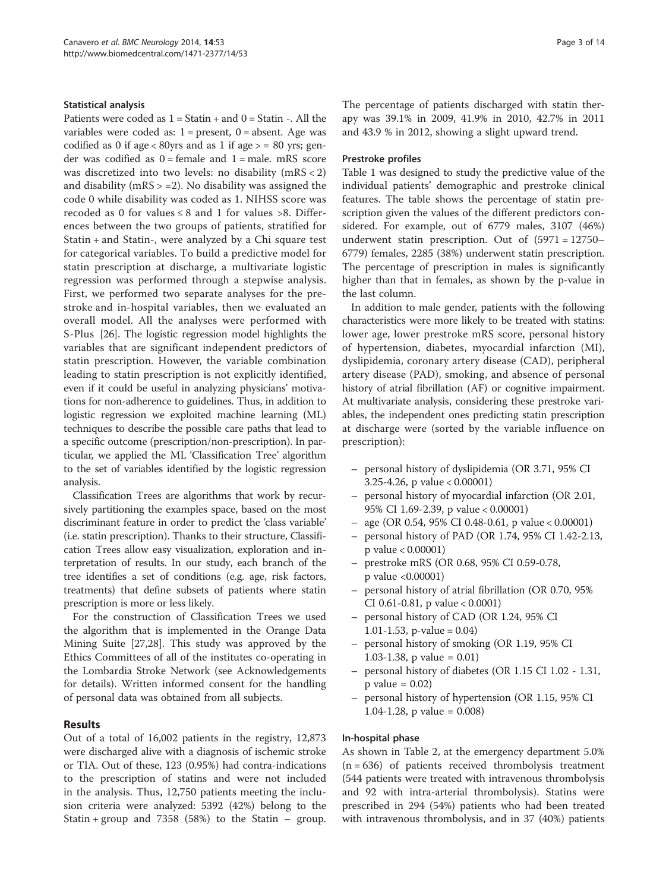#### Statistical analysis

Patients were coded as  $1 =$  Statin + and  $0 =$  Statin -. All the variables were coded as:  $1 =$  present,  $0 =$  absent. Age was codified as 0 if age  $<$  80yrs and as 1 if age  $>$  = 80 yrs; gender was codified as  $0 =$  female and  $1 =$  male. mRS score was discretized into two levels: no disability (mRS < 2) and disability ( $mRS$   $>$  =2). No disability was assigned the code 0 while disability was coded as 1. NIHSS score was recoded as 0 for values  $\leq 8$  and 1 for values  $>8$ . Differences between the two groups of patients, stratified for Statin + and Statin-, were analyzed by a Chi square test for categorical variables. To build a predictive model for statin prescription at discharge, a multivariate logistic regression was performed through a stepwise analysis. First, we performed two separate analyses for the prestroke and in-hospital variables, then we evaluated an overall model. All the analyses were performed with S-Plus [\[26\]](#page-12-0). The logistic regression model highlights the variables that are significant independent predictors of statin prescription. However, the variable combination leading to statin prescription is not explicitly identified, even if it could be useful in analyzing physicians' motivations for non-adherence to guidelines. Thus, in addition to logistic regression we exploited machine learning (ML) techniques to describe the possible care paths that lead to a specific outcome (prescription/non-prescription). In particular, we applied the ML 'Classification Tree' algorithm to the set of variables identified by the logistic regression analysis.

Classification Trees are algorithms that work by recursively partitioning the examples space, based on the most discriminant feature in order to predict the 'class variable' (i.e. statin prescription). Thanks to their structure, Classification Trees allow easy visualization, exploration and interpretation of results. In our study, each branch of the tree identifies a set of conditions (e.g. age, risk factors, treatments) that define subsets of patients where statin prescription is more or less likely.

For the construction of Classification Trees we used the algorithm that is implemented in the Orange Data Mining Suite [[27](#page-12-0),[28](#page-12-0)]. This study was approved by the Ethics Committees of all of the institutes co-operating in the Lombardia Stroke Network (see [Acknowledgements](#page-11-0) for details). Written informed consent for the handling of personal data was obtained from all subjects.

## Results

Out of a total of 16,002 patients in the registry, 12,873 were discharged alive with a diagnosis of ischemic stroke or TIA. Out of these, 123 (0.95%) had contra-indications to the prescription of statins and were not included in the analysis. Thus, 12,750 patients meeting the inclusion criteria were analyzed: 5392 (42%) belong to the Statin + group and  $7358$  (58%) to the Statin – group. The percentage of patients discharged with statin therapy was 39.1% in 2009, 41.9% in 2010, 42.7% in 2011 and 43.9 % in 2012, showing a slight upward trend.

#### Prestroke profiles

Table [1](#page-3-0) was designed to study the predictive value of the individual patients' demographic and prestroke clinical features. The table shows the percentage of statin prescription given the values of the different predictors considered. For example, out of 6779 males, 3107 (46%) underwent statin prescription. Out of (5971 = 12750– 6779) females, 2285 (38%) underwent statin prescription. The percentage of prescription in males is significantly higher than that in females, as shown by the p-value in the last column.

In addition to male gender, patients with the following characteristics were more likely to be treated with statins: lower age, lower prestroke mRS score, personal history of hypertension, diabetes, myocardial infarction (MI), dyslipidemia, coronary artery disease (CAD), peripheral artery disease (PAD), smoking, and absence of personal history of atrial fibrillation (AF) or cognitive impairment. At multivariate analysis, considering these prestroke variables, the independent ones predicting statin prescription at discharge were (sorted by the variable influence on prescription):

- personal history of dyslipidemia (OR 3.71, 95% CI 3.25-4.26, p value < 0.00001)
- personal history of myocardial infarction (OR 2.01, 95% CI 1.69-2.39, p value < 0.00001)
- age (OR 0.54, 95% CI 0.48-0.61, p value < 0.00001)
- personal history of PAD (OR 1.74, 95% CI 1.42-2.13, p value < 0.00001)
- prestroke mRS (OR 0.68, 95% CI 0.59-0.78, p value <0.00001)
- personal history of atrial fibrillation (OR 0.70, 95% CI 0.61-0.81, p value < 0.0001)
- personal history of CAD (OR 1.24, 95% CI 1.01-1.53, p-value =  $0.04$ )
- personal history of smoking (OR 1.19, 95% CI 1.03-1.38, p value = 0.01)
- personal history of diabetes (OR 1.15 CI 1.02 1.31,  $p$  value = 0.02)
- personal history of hypertension (OR 1.15, 95% CI 1.04-1.28, p value = 0.008)

#### In-hospital phase

As shown in Table [2,](#page-4-0) at the emergency department 5.0%  $(n = 636)$  of patients received thrombolysis treatment (544 patients were treated with intravenous thrombolysis and 92 with intra-arterial thrombolysis). Statins were prescribed in 294 (54%) patients who had been treated with intravenous thrombolysis, and in 37 (40%) patients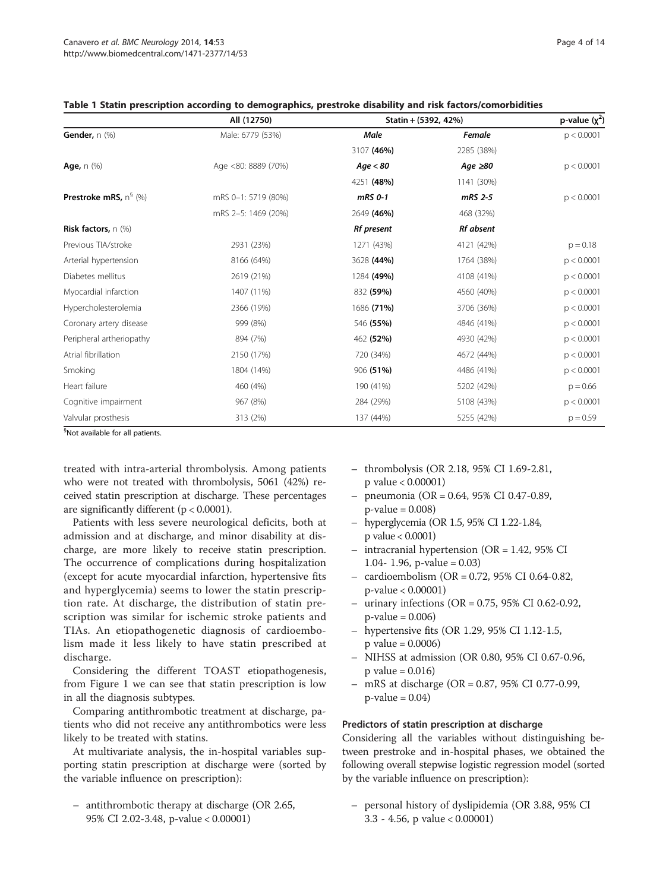|                                   | All (12750)         | Statin + (5392, 42%) | p-value $(y^2)$ |            |
|-----------------------------------|---------------------|----------------------|-----------------|------------|
| Gender, n (%)                     | Male: 6779 (53%)    | <b>Male</b>          | <b>Female</b>   | p < 0.0001 |
|                                   |                     | 3107 (46%)           | 2285 (38%)      |            |
| Age, $n$ $(\%)$                   | Age <80: 8889 (70%) | Age < 80             | Age $\geq 80$   | p < 0.0001 |
|                                   |                     | 4251 (48%)           | 1141 (30%)      |            |
| Prestroke mRS, n <sup>§</sup> (%) | mRS 0-1: 5719 (80%) | mRS 0-1              | mRS 2-5         | p < 0.0001 |
|                                   | mRS 2-5: 1469 (20%) | 2649 (46%)           | 468 (32%)       |            |
| Risk factors, n (%)               |                     | Rf present           | Rf absent       |            |
| Previous TIA/stroke               | 2931 (23%)          | 1271 (43%)           | 4121 (42%)      | $p = 0.18$ |
| Arterial hypertension             | 8166 (64%)          | 3628 (44%)           | 1764 (38%)      | p < 0.0001 |
| Diabetes mellitus                 | 2619 (21%)          | 1284 (49%)           | 4108 (41%)      | p < 0.0001 |
| Myocardial infarction             | 1407 (11%)          | 832 (59%)            | 4560 (40%)      | p < 0.0001 |
| Hypercholesterolemia              | 2366 (19%)          | 1686 (71%)           | 3706 (36%)      | p < 0.0001 |
| Coronary artery disease           | 999 (8%)            | 546 (55%)            | 4846 (41%)      | p < 0.0001 |
| Peripheral artheriopathy          | 894 (7%)            | 462 (52%)            | 4930 (42%)      | p < 0.0001 |
| Atrial fibrillation               | 2150 (17%)          | 720 (34%)            | 4672 (44%)      | p < 0.0001 |
| Smoking                           | 1804 (14%)          | 906 (51%)            | 4486 (41%)      | p < 0.0001 |
| Heart failure                     | 460 (4%)            | 190 (41%)            | 5202 (42%)      | $p = 0.66$ |
| Cognitive impairment              | 967 (8%)            | 284 (29%)            | 5108 (43%)      | p < 0.0001 |
| Valvular prosthesis               | 313 (2%)            | 137 (44%)            | 5255 (42%)      | $p = 0.59$ |

<span id="page-3-0"></span>Table 1 Statin prescription according to demographics, prestroke disability and risk factors/comorbidities

§ Not available for all patients.

treated with intra-arterial thrombolysis. Among patients who were not treated with thrombolysis, 5061 (42%) received statin prescription at discharge. These percentages are significantly different ( $p < 0.0001$ ).

Patients with less severe neurological deficits, both at admission and at discharge, and minor disability at discharge, are more likely to receive statin prescription. The occurrence of complications during hospitalization (except for acute myocardial infarction, hypertensive fits and hyperglycemia) seems to lower the statin prescription rate. At discharge, the distribution of statin prescription was similar for ischemic stroke patients and TIAs. An etiopathogenetic diagnosis of cardioembolism made it less likely to have statin prescribed at discharge.

Considering the different TOAST etiopathogenesis, from Figure [1](#page-5-0) we can see that statin prescription is low in all the diagnosis subtypes.

Comparing antithrombotic treatment at discharge, patients who did not receive any antithrombotics were less likely to be treated with statins.

At multivariate analysis, the in-hospital variables supporting statin prescription at discharge were (sorted by the variable influence on prescription):

– antithrombotic therapy at discharge (OR 2.65, 95% CI 2.02-3.48, p-value < 0.00001)

- thrombolysis (OR 2.18, 95% CI 1.69-2.81, p value < 0.00001)
- pneumonia (OR = 0.64, 95% CI 0.47-0.89,  $p$ -value =  $0.008$ )
- hyperglycemia (OR 1.5, 95% CI 1.22-1.84, p value < 0.0001)
- intracranial hypertension ( $OR = 1.42$ , 95% CI 1.04- 1.96, p-value = 0.03)
- cardioembolism (OR = 0.72, 95% CI 0.64-0.82, p-value < 0.00001)
- urinary infections (OR =  $0.75$ , 95% CI 0.62-0.92,  $p$ -value = 0.006)
- hypertensive fits (OR 1.29, 95% CI 1.12-1.5, p value = 0.0006)
- NIHSS at admission (OR 0.80, 95% CI 0.67-0.96,  $p$  value = 0.016)
- mRS at discharge (OR = 0.87, 95% CI 0.77-0.99,  $p$ -value =  $0.04$ )

# Predictors of statin prescription at discharge

Considering all the variables without distinguishing between prestroke and in-hospital phases, we obtained the following overall stepwise logistic regression model (sorted by the variable influence on prescription):

– personal history of dyslipidemia (OR 3.88, 95% CI 3.3 - 4.56, p value < 0.00001)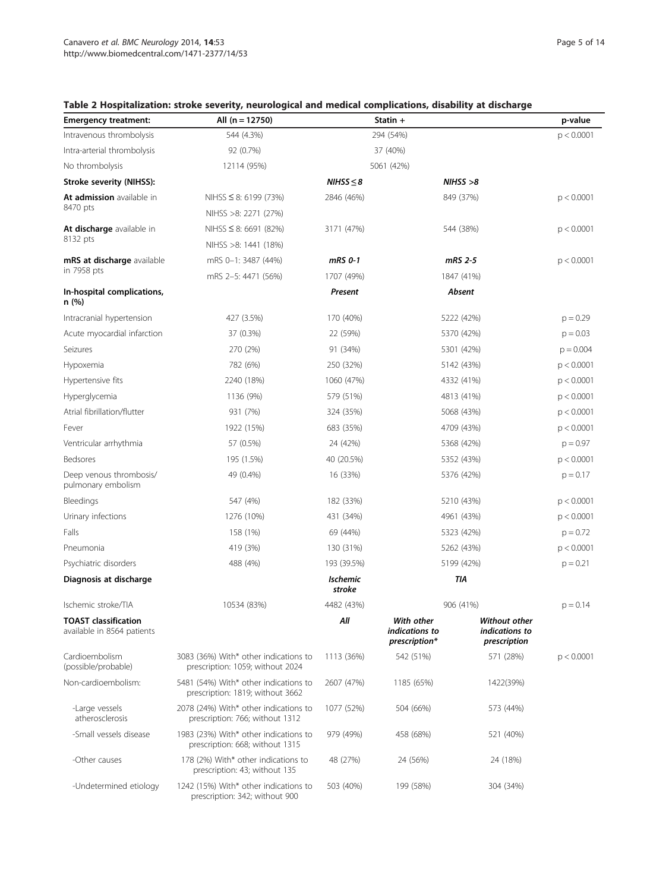## <span id="page-4-0"></span>Table 2 Hospitalization: stroke severity, neurological and medical complications, disability at discharge

| <b>Emergency treatment:</b>                               | All $(n = 12750)$                                                         |                    | Statin $+$                                    |                                                 | p-value     |
|-----------------------------------------------------------|---------------------------------------------------------------------------|--------------------|-----------------------------------------------|-------------------------------------------------|-------------|
| Intravenous thrombolysis                                  | 544 (4.3%)                                                                |                    | 294 (54%)                                     |                                                 | p < 0.0001  |
| Intra-arterial thrombolysis                               | 92 (0.7%)                                                                 | 37 (40%)           |                                               |                                                 |             |
| No thrombolysis                                           | 12114 (95%)                                                               | 5061 (42%)         |                                               |                                                 |             |
| <b>Stroke severity (NIHSS):</b>                           |                                                                           | NIHSS $\leq$ 8     |                                               | NIHSS > 8                                       |             |
| At admission available in                                 | NIHSS $\leq$ 8: 6199 (73%)                                                | 2846 (46%)         |                                               | 849 (37%)                                       | p < 0.0001  |
| 8470 pts                                                  | NIHSS >8: 2271 (27%)                                                      |                    |                                               |                                                 |             |
| At discharge available in                                 | NIHSS $\leq$ 8: 6691 (82%)                                                | 3171 (47%)         |                                               | 544 (38%)                                       | p < 0.0001  |
| 8132 pts                                                  | NIHSS >8: 1441 (18%)                                                      |                    |                                               |                                                 |             |
| mRS at discharge available<br>in 7958 pts                 | mRS 0-1: 3487 (44%)                                                       | $mRS$ 0-1          |                                               | mRS 2-5                                         | p < 0.0001  |
|                                                           | mRS 2-5: 4471 (56%)                                                       | 1707 (49%)         |                                               | 1847 (41%)                                      |             |
| In-hospital complications,<br>n (%)                       |                                                                           | Present            |                                               | Absent                                          |             |
| Intracranial hypertension                                 | 427 (3.5%)                                                                | 170 (40%)          |                                               | 5222 (42%)                                      | $p = 0.29$  |
| Acute myocardial infarction                               | 37 (0.3%)                                                                 | 22 (59%)           |                                               | 5370 (42%)                                      | $p = 0.03$  |
| Seizures                                                  | 270 (2%)                                                                  | 91 (34%)           |                                               | 5301 (42%)                                      | $p = 0.004$ |
| Hypoxemia                                                 | 782 (6%)                                                                  | 250 (32%)          |                                               | 5142 (43%)                                      | p < 0.0001  |
| Hypertensive fits                                         | 2240 (18%)                                                                | 1060 (47%)         |                                               | 4332 (41%)                                      | p < 0.0001  |
| Hyperglycemia                                             | 1136 (9%)                                                                 | 579 (51%)          |                                               | 4813 (41%)                                      |             |
| Atrial fibrillation/flutter                               | 931 (7%)                                                                  | 324 (35%)          |                                               | 5068 (43%)                                      |             |
| Fever                                                     | 1922 (15%)                                                                | 683 (35%)          |                                               | 4709 (43%)                                      |             |
| Ventricular arrhythmia                                    | 57 (0.5%)                                                                 | 24 (42%)           |                                               | 5368 (42%)                                      |             |
| <b>Bedsores</b>                                           | 195 (1.5%)                                                                | 40 (20.5%)         | 5352 (43%)                                    |                                                 | p < 0.0001  |
| Deep venous thrombosis/<br>pulmonary embolism             | 49 (0.4%)                                                                 | 16 (33%)           |                                               | 5376 (42%)                                      | $p = 0.17$  |
| Bleedings                                                 | 547 (4%)                                                                  | 182 (33%)          |                                               | 5210 (43%)                                      | p < 0.0001  |
| Urinary infections                                        | 1276 (10%)                                                                | 431 (34%)          | 4961 (43%)                                    |                                                 | p < 0.0001  |
| Falls                                                     | 158 (1%)                                                                  | 69 (44%)           | 5323 (42%)                                    |                                                 | $p = 0.72$  |
| Pneumonia                                                 | 419 (3%)                                                                  | 130 (31%)          | 5262 (43%)                                    |                                                 | p < 0.0001  |
| Psychiatric disorders                                     | 488 (4%)                                                                  | 193 (39.5%)        |                                               | 5199 (42%)                                      | $p = 0.21$  |
| Diagnosis at discharge                                    |                                                                           | Ischemic<br>stroke |                                               | TIA                                             |             |
| Ischemic stroke/TIA                                       | 10534 (83%)                                                               | 4482 (43%)         |                                               | 906 (41%)                                       | $p = 0.14$  |
| <b>TOAST classification</b><br>available in 8564 patients |                                                                           | Αll                | With other<br>indications to<br>prescription* | Without other<br>indications to<br>prescription |             |
| Cardioembolism<br>(possible/probable)                     | 3083 (36%) With* other indications to<br>prescription: 1059; without 2024 | 1113 (36%)         | 542 (51%)                                     | 571 (28%)                                       | p < 0.0001  |
| Non-cardioembolism:                                       | 5481 (54%) With* other indications to<br>prescription: 1819; without 3662 | 2607 (47%)         | 1185 (65%)                                    | 1422(39%)                                       |             |
| -Large vessels<br>atherosclerosis                         | 2078 (24%) With* other indications to<br>prescription: 766; without 1312  | 1077 (52%)         | 504 (66%)                                     | 573 (44%)                                       |             |
| -Small vessels disease                                    | 1983 (23%) With* other indications to<br>prescription: 668; without 1315  | 979 (49%)          | 458 (68%)                                     | 521 (40%)                                       |             |
| -Other causes                                             | 178 (2%) With* other indications to<br>prescription: 43; without 135      | 48 (27%)           | 24 (56%)                                      | 24 (18%)                                        |             |
| -Undetermined etiology                                    | 1242 (15%) With* other indications to<br>prescription: 342; without 900   | 503 (40%)          | 199 (58%)                                     | 304 (34%)                                       |             |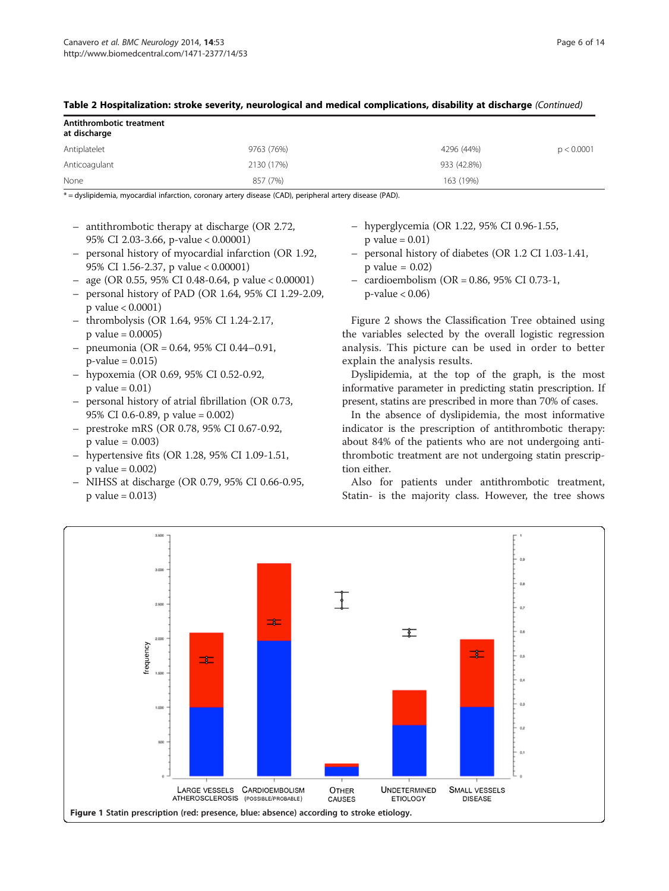| Antithrombotic treatment<br>at discharge |            |             |            |
|------------------------------------------|------------|-------------|------------|
| Antiplatelet                             | 9763 (76%) | 4296 (44%)  | p < 0.0001 |
| Anticoagulant                            | 2130 (17%) | 933 (42.8%) |            |
| None                                     | 857 (7%)   | 163 (19%)   |            |

# <span id="page-5-0"></span>Table 2 Hospitalization: stroke severity, neurological and medical complications, disability at discharge (Continued)

\* = dyslipidemia, myocardial infarction, coronary artery disease (CAD), peripheral artery disease (PAD).

- antithrombotic therapy at discharge (OR 2.72, 95% CI 2.03-3.66, p-value < 0.00001)
- personal history of myocardial infarction (OR 1.92, 95% CI 1.56-2.37, p value < 0.00001)
- age (OR 0.55, 95% CI 0.48-0.64, p value < 0.00001)
- personal history of PAD (OR 1.64, 95% CI 1.29-2.09, p value < 0.0001)
- thrombolysis (OR 1.64, 95% CI 1.24-2.17, p value = 0.0005)
- $-$  pneumonia (OR = 0.64, 95% CI 0.44–0.91,  $p$ -value = 0.015)
- hypoxemia (OR 0.69, 95% CI 0.52-0.92,  $p$  value = 0.01)
- personal history of atrial fibrillation (OR 0.73, 95% CI 0.6-0.89, p value = 0.002)
- prestroke mRS (OR 0.78, 95% CI 0.67-0.92,  $p$  value = 0.003)
- hypertensive fits (OR 1.28, 95% CI 1.09-1.51,  $p$  value = 0.002)
- NIHSS at discharge (OR 0.79, 95% CI 0.66-0.95,  $p$  value = 0.013)
- hyperglycemia (OR 1.22, 95% CI 0.96-1.55,  $p$  value = 0.01)
- personal history of diabetes (OR 1.2 CI 1.03-1.41,  $p$  value = 0.02)
- cardioembolism (OR = 0.86, 95% CI 0.73-1, p-value < 0.06)

Figure [2](#page-6-0) shows the Classification Tree obtained using the variables selected by the overall logistic regression analysis. This picture can be used in order to better explain the analysis results.

Dyslipidemia, at the top of the graph, is the most informative parameter in predicting statin prescription. If present, statins are prescribed in more than 70% of cases.

In the absence of dyslipidemia, the most informative indicator is the prescription of antithrombotic therapy: about 84% of the patients who are not undergoing antithrombotic treatment are not undergoing statin prescription either.

Also for patients under antithrombotic treatment, Statin- is the majority class. However, the tree shows

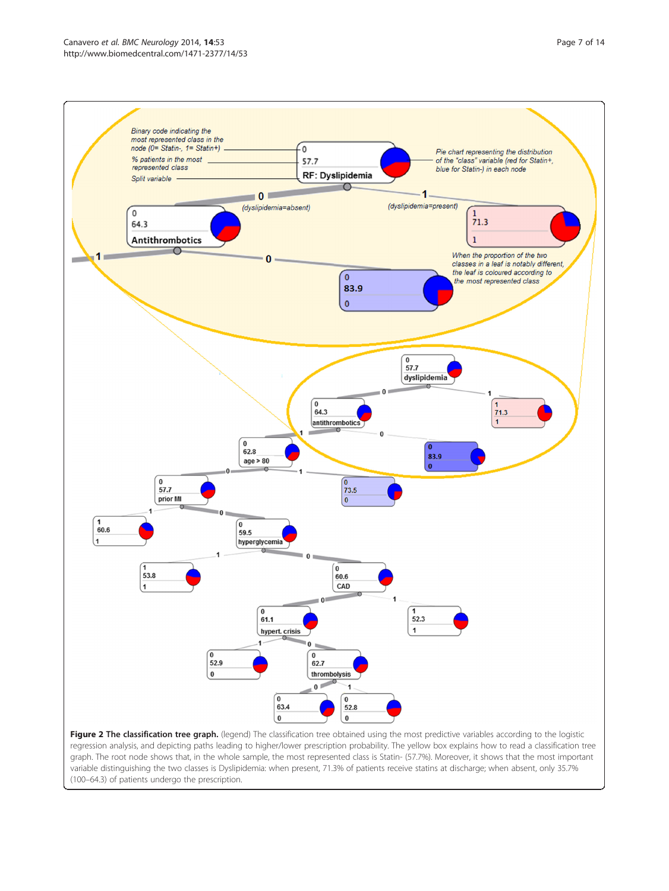<span id="page-6-0"></span>

graph. The root node shows that, in the whole sample, the most represented class is Statin- (57.7%). Moreover, it shows that the most important variable distinguishing the two classes is Dyslipidemia: when present, 71.3% of patients receive statins at discharge; when absent, only 35.7% (100–64.3) of patients undergo the prescription.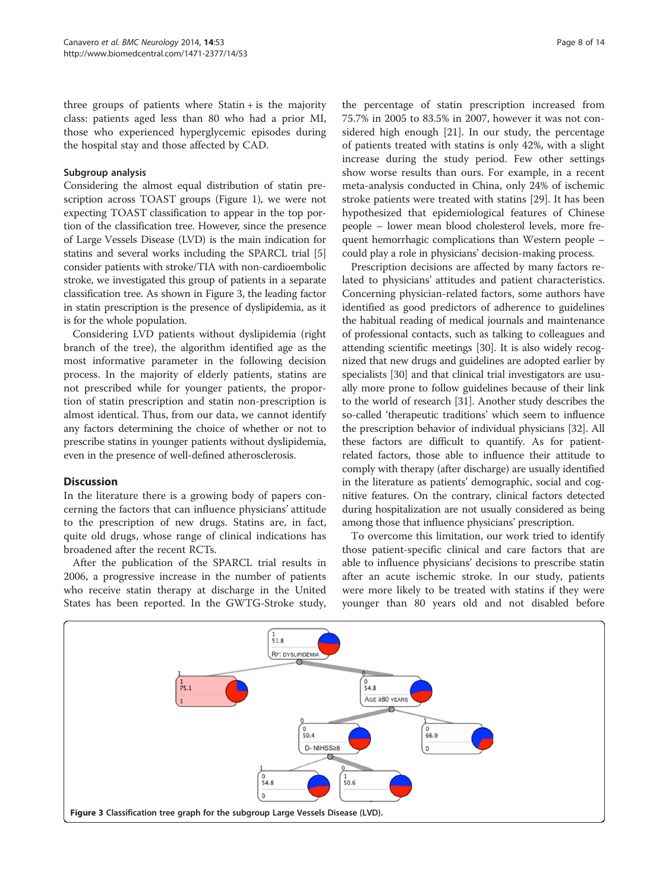three groups of patients where Statin + is the majority class: patients aged less than 80 who had a prior MI, those who experienced hyperglycemic episodes during the hospital stay and those affected by CAD.

#### Subgroup analysis

Considering the almost equal distribution of statin prescription across TOAST groups (Figure [1](#page-5-0)), we were not expecting TOAST classification to appear in the top portion of the classification tree. However, since the presence of Large Vessels Disease (LVD) is the main indication for statins and several works including the SPARCL trial [[5](#page-11-0)] consider patients with stroke/TIA with non-cardioembolic stroke, we investigated this group of patients in a separate classification tree. As shown in Figure 3, the leading factor in statin prescription is the presence of dyslipidemia, as it is for the whole population.

Considering LVD patients without dyslipidemia (right branch of the tree), the algorithm identified age as the most informative parameter in the following decision process. In the majority of elderly patients, statins are not prescribed while for younger patients, the proportion of statin prescription and statin non-prescription is almost identical. Thus, from our data, we cannot identify any factors determining the choice of whether or not to prescribe statins in younger patients without dyslipidemia, even in the presence of well-defined atherosclerosis.

# **Discussion**

In the literature there is a growing body of papers concerning the factors that can influence physicians' attitude to the prescription of new drugs. Statins are, in fact, quite old drugs, whose range of clinical indications has broadened after the recent RCTs.

After the publication of the SPARCL trial results in 2006, a progressive increase in the number of patients who receive statin therapy at discharge in the United States has been reported. In the GWTG-Stroke study,

the percentage of statin prescription increased from 75.7% in 2005 to 83.5% in 2007, however it was not considered high enough [\[21\]](#page-11-0). In our study, the percentage of patients treated with statins is only 42%, with a slight increase during the study period. Few other settings show worse results than ours. For example, in a recent meta-analysis conducted in China, only 24% of ischemic stroke patients were treated with statins [\[29\]](#page-12-0). It has been hypothesized that epidemiological features of Chinese people – lower mean blood cholesterol levels, more frequent hemorrhagic complications than Western people – could play a role in physicians' decision-making process.

Prescription decisions are affected by many factors related to physicians' attitudes and patient characteristics. Concerning physician-related factors, some authors have identified as good predictors of adherence to guidelines the habitual reading of medical journals and maintenance of professional contacts, such as talking to colleagues and attending scientific meetings [\[30\]](#page-12-0). It is also widely recognized that new drugs and guidelines are adopted earlier by specialists [[30](#page-12-0)] and that clinical trial investigators are usually more prone to follow guidelines because of their link to the world of research [[31](#page-12-0)]. Another study describes the so-called 'therapeutic traditions' which seem to influence the prescription behavior of individual physicians [[32\]](#page-12-0). All these factors are difficult to quantify. As for patientrelated factors, those able to influence their attitude to comply with therapy (after discharge) are usually identified in the literature as patients' demographic, social and cognitive features. On the contrary, clinical factors detected during hospitalization are not usually considered as being among those that influence physicians' prescription.

To overcome this limitation, our work tried to identify those patient-specific clinical and care factors that are able to influence physicians' decisions to prescribe statin after an acute ischemic stroke. In our study, patients were more likely to be treated with statins if they were younger than 80 years old and not disabled before

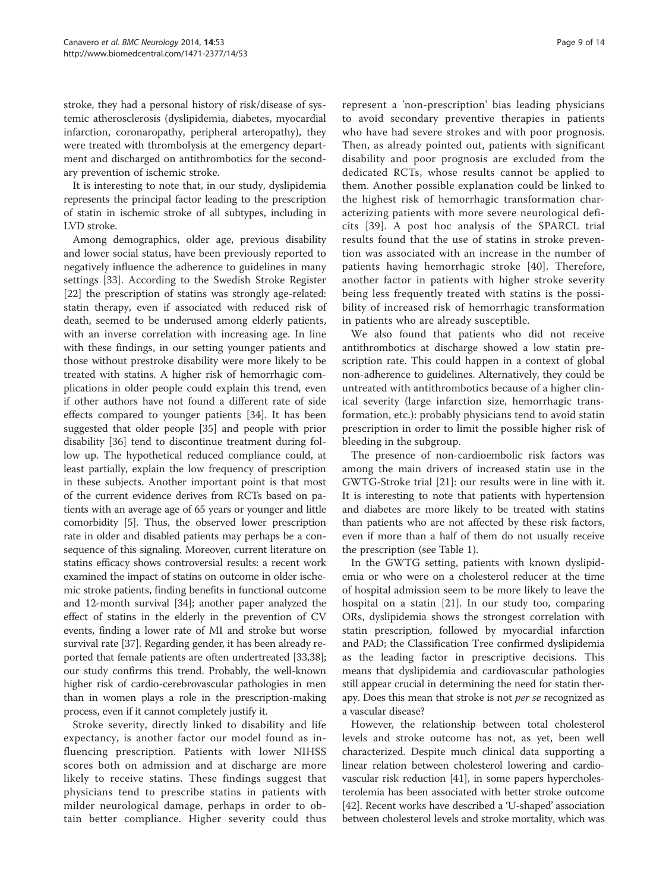stroke, they had a personal history of risk/disease of systemic atherosclerosis (dyslipidemia, diabetes, myocardial infarction, coronaropathy, peripheral arteropathy), they were treated with thrombolysis at the emergency department and discharged on antithrombotics for the secondary prevention of ischemic stroke.

It is interesting to note that, in our study, dyslipidemia represents the principal factor leading to the prescription of statin in ischemic stroke of all subtypes, including in LVD stroke.

Among demographics, older age, previous disability and lower social status, have been previously reported to negatively influence the adherence to guidelines in many settings [[33\]](#page-12-0). According to the Swedish Stroke Register [[22\]](#page-11-0) the prescription of statins was strongly age-related: statin therapy, even if associated with reduced risk of death, seemed to be underused among elderly patients, with an inverse correlation with increasing age. In line with these findings, in our setting younger patients and those without prestroke disability were more likely to be treated with statins. A higher risk of hemorrhagic complications in older people could explain this trend, even if other authors have not found a different rate of side effects compared to younger patients [[34](#page-12-0)]. It has been suggested that older people [\[35](#page-12-0)] and people with prior disability [[36\]](#page-12-0) tend to discontinue treatment during follow up. The hypothetical reduced compliance could, at least partially, explain the low frequency of prescription in these subjects. Another important point is that most of the current evidence derives from RCTs based on patients with an average age of 65 years or younger and little comorbidity [\[5](#page-11-0)]. Thus, the observed lower prescription rate in older and disabled patients may perhaps be a consequence of this signaling. Moreover, current literature on statins efficacy shows controversial results: a recent work examined the impact of statins on outcome in older ischemic stroke patients, finding benefits in functional outcome and 12-month survival [\[34\]](#page-12-0); another paper analyzed the effect of statins in the elderly in the prevention of CV events, finding a lower rate of MI and stroke but worse survival rate [\[37\]](#page-12-0). Regarding gender, it has been already reported that female patients are often undertreated [\[33,38](#page-12-0)]; our study confirms this trend. Probably, the well-known higher risk of cardio-cerebrovascular pathologies in men than in women plays a role in the prescription-making process, even if it cannot completely justify it.

Stroke severity, directly linked to disability and life expectancy, is another factor our model found as influencing prescription. Patients with lower NIHSS scores both on admission and at discharge are more likely to receive statins. These findings suggest that physicians tend to prescribe statins in patients with milder neurological damage, perhaps in order to obtain better compliance. Higher severity could thus

represent a 'non-prescription' bias leading physicians to avoid secondary preventive therapies in patients who have had severe strokes and with poor prognosis. Then, as already pointed out, patients with significant disability and poor prognosis are excluded from the dedicated RCTs, whose results cannot be applied to them. Another possible explanation could be linked to the highest risk of hemorrhagic transformation characterizing patients with more severe neurological deficits [[39\]](#page-12-0). A post hoc analysis of the SPARCL trial results found that the use of statins in stroke prevention was associated with an increase in the number of patients having hemorrhagic stroke [[40\]](#page-12-0). Therefore, another factor in patients with higher stroke severity being less frequently treated with statins is the possibility of increased risk of hemorrhagic transformation in patients who are already susceptible.

We also found that patients who did not receive antithrombotics at discharge showed a low statin prescription rate. This could happen in a context of global non-adherence to guidelines. Alternatively, they could be untreated with antithrombotics because of a higher clinical severity (large infarction size, hemorrhagic transformation, etc.): probably physicians tend to avoid statin prescription in order to limit the possible higher risk of bleeding in the subgroup.

The presence of non-cardioembolic risk factors was among the main drivers of increased statin use in the GWTG-Stroke trial [\[21](#page-11-0)]: our results were in line with it. It is interesting to note that patients with hypertension and diabetes are more likely to be treated with statins than patients who are not affected by these risk factors, even if more than a half of them do not usually receive the prescription (see Table [1\)](#page-3-0).

In the GWTG setting, patients with known dyslipidemia or who were on a cholesterol reducer at the time of hospital admission seem to be more likely to leave the hospital on a statin [\[21](#page-11-0)]. In our study too, comparing ORs, dyslipidemia shows the strongest correlation with statin prescription, followed by myocardial infarction and PAD; the Classification Tree confirmed dyslipidemia as the leading factor in prescriptive decisions. This means that dyslipidemia and cardiovascular pathologies still appear crucial in determining the need for statin therapy. Does this mean that stroke is not *per se* recognized as a vascular disease?

However, the relationship between total cholesterol levels and stroke outcome has not, as yet, been well characterized. Despite much clinical data supporting a linear relation between cholesterol lowering and cardiovascular risk reduction [[41](#page-12-0)], in some papers hypercholesterolemia has been associated with better stroke outcome [[42](#page-12-0)]. Recent works have described a 'U-shaped' association between cholesterol levels and stroke mortality, which was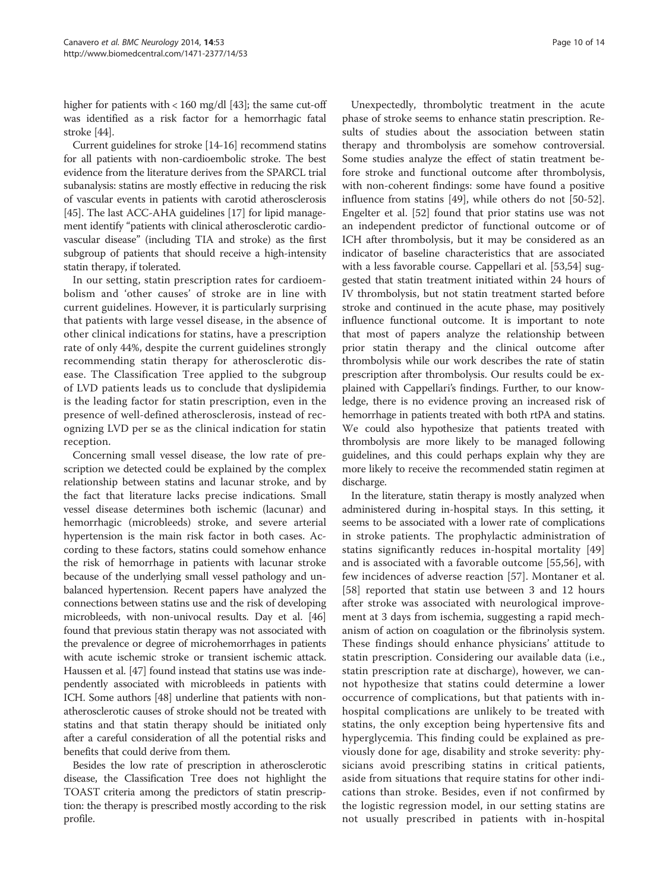higher for patients with < 160 mg/dl [\[43](#page-12-0)]; the same cut-off was identified as a risk factor for a hemorrhagic fatal stroke [[44](#page-12-0)].

Current guidelines for stroke [[14](#page-11-0)-[16](#page-11-0)] recommend statins for all patients with non-cardioembolic stroke. The best evidence from the literature derives from the SPARCL trial subanalysis: statins are mostly effective in reducing the risk of vascular events in patients with carotid atherosclerosis [[45](#page-12-0)]. The last ACC-AHA guidelines [[17](#page-11-0)] for lipid management identify "patients with clinical atherosclerotic cardiovascular disease" (including TIA and stroke) as the first subgroup of patients that should receive a high-intensity statin therapy, if tolerated.

In our setting, statin prescription rates for cardioembolism and 'other causes' of stroke are in line with current guidelines. However, it is particularly surprising that patients with large vessel disease, in the absence of other clinical indications for statins, have a prescription rate of only 44%, despite the current guidelines strongly recommending statin therapy for atherosclerotic disease. The Classification Tree applied to the subgroup of LVD patients leads us to conclude that dyslipidemia is the leading factor for statin prescription, even in the presence of well-defined atherosclerosis, instead of recognizing LVD per se as the clinical indication for statin reception.

Concerning small vessel disease, the low rate of prescription we detected could be explained by the complex relationship between statins and lacunar stroke, and by the fact that literature lacks precise indications. Small vessel disease determines both ischemic (lacunar) and hemorrhagic (microbleeds) stroke, and severe arterial hypertension is the main risk factor in both cases. According to these factors, statins could somehow enhance the risk of hemorrhage in patients with lacunar stroke because of the underlying small vessel pathology and unbalanced hypertension. Recent papers have analyzed the connections between statins use and the risk of developing microbleeds, with non-univocal results. Day et al. [[46](#page-12-0)] found that previous statin therapy was not associated with the prevalence or degree of microhemorrhages in patients with acute ischemic stroke or transient ischemic attack. Haussen et al. [[47](#page-12-0)] found instead that statins use was independently associated with microbleeds in patients with ICH. Some authors [[48](#page-12-0)] underline that patients with nonatherosclerotic causes of stroke should not be treated with statins and that statin therapy should be initiated only after a careful consideration of all the potential risks and benefits that could derive from them.

Besides the low rate of prescription in atherosclerotic disease, the Classification Tree does not highlight the TOAST criteria among the predictors of statin prescription: the therapy is prescribed mostly according to the risk profile.

Unexpectedly, thrombolytic treatment in the acute phase of stroke seems to enhance statin prescription. Results of studies about the association between statin therapy and thrombolysis are somehow controversial. Some studies analyze the effect of statin treatment before stroke and functional outcome after thrombolysis, with non-coherent findings: some have found a positive influence from statins [\[49](#page-12-0)], while others do not [\[50-52](#page-12-0)]. Engelter et al. [[52\]](#page-12-0) found that prior statins use was not an independent predictor of functional outcome or of ICH after thrombolysis, but it may be considered as an indicator of baseline characteristics that are associated with a less favorable course. Cappellari et al. [\[53,54\]](#page-12-0) suggested that statin treatment initiated within 24 hours of IV thrombolysis, but not statin treatment started before stroke and continued in the acute phase, may positively influence functional outcome. It is important to note that most of papers analyze the relationship between prior statin therapy and the clinical outcome after thrombolysis while our work describes the rate of statin prescription after thrombolysis. Our results could be explained with Cappellari's findings. Further, to our knowledge, there is no evidence proving an increased risk of hemorrhage in patients treated with both rtPA and statins. We could also hypothesize that patients treated with thrombolysis are more likely to be managed following guidelines, and this could perhaps explain why they are more likely to receive the recommended statin regimen at discharge.

In the literature, statin therapy is mostly analyzed when administered during in-hospital stays. In this setting, it seems to be associated with a lower rate of complications in stroke patients. The prophylactic administration of statins significantly reduces in-hospital mortality [\[49](#page-12-0)] and is associated with a favorable outcome [[55,56\]](#page-12-0), with few incidences of adverse reaction [[57\]](#page-12-0). Montaner et al. [[58\]](#page-12-0) reported that statin use between 3 and 12 hours after stroke was associated with neurological improvement at 3 days from ischemia, suggesting a rapid mechanism of action on coagulation or the fibrinolysis system. These findings should enhance physicians' attitude to statin prescription. Considering our available data (i.e., statin prescription rate at discharge), however, we cannot hypothesize that statins could determine a lower occurrence of complications, but that patients with inhospital complications are unlikely to be treated with statins, the only exception being hypertensive fits and hyperglycemia. This finding could be explained as previously done for age, disability and stroke severity: physicians avoid prescribing statins in critical patients, aside from situations that require statins for other indications than stroke. Besides, even if not confirmed by the logistic regression model, in our setting statins are not usually prescribed in patients with in-hospital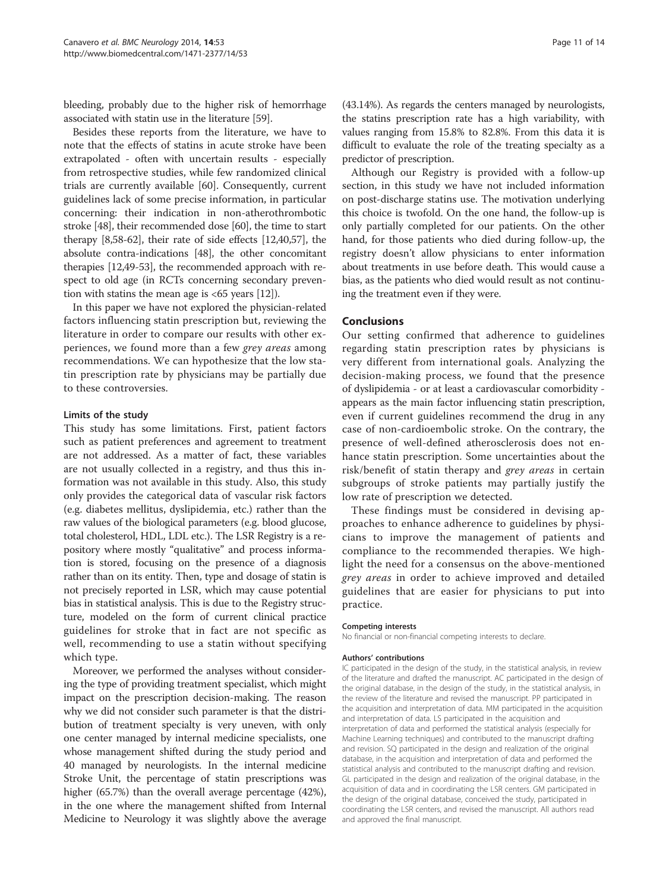bleeding, probably due to the higher risk of hemorrhage associated with statin use in the literature [[59](#page-12-0)].

Besides these reports from the literature, we have to note that the effects of statins in acute stroke have been extrapolated - often with uncertain results - especially from retrospective studies, while few randomized clinical trials are currently available [[60\]](#page-12-0). Consequently, current guidelines lack of some precise information, in particular concerning: their indication in non-atherothrombotic stroke [[48](#page-12-0)], their recommended dose [\[60\]](#page-12-0), the time to start therapy [\[8](#page-11-0)[,58](#page-12-0)[-62\]](#page-13-0), their rate of side effects [\[12,](#page-11-0)[40,57](#page-12-0)], the absolute contra-indications [\[48\]](#page-12-0), the other concomitant therapies [\[12,](#page-11-0)[49](#page-12-0)-[53](#page-12-0)], the recommended approach with respect to old age (in RCTs concerning secondary prevention with statins the mean age is  $<65$  years [\[12](#page-11-0)]).

In this paper we have not explored the physician-related factors influencing statin prescription but, reviewing the literature in order to compare our results with other experiences, we found more than a few grey areas among recommendations. We can hypothesize that the low statin prescription rate by physicians may be partially due to these controversies.

#### Limits of the study

This study has some limitations. First, patient factors such as patient preferences and agreement to treatment are not addressed. As a matter of fact, these variables are not usually collected in a registry, and thus this information was not available in this study. Also, this study only provides the categorical data of vascular risk factors (e.g. diabetes mellitus, dyslipidemia, etc.) rather than the raw values of the biological parameters (e.g. blood glucose, total cholesterol, HDL, LDL etc.). The LSR Registry is a repository where mostly "qualitative" and process information is stored, focusing on the presence of a diagnosis rather than on its entity. Then, type and dosage of statin is not precisely reported in LSR, which may cause potential bias in statistical analysis. This is due to the Registry structure, modeled on the form of current clinical practice guidelines for stroke that in fact are not specific as well, recommending to use a statin without specifying which type.

Moreover, we performed the analyses without considering the type of providing treatment specialist, which might impact on the prescription decision-making. The reason why we did not consider such parameter is that the distribution of treatment specialty is very uneven, with only one center managed by internal medicine specialists, one whose management shifted during the study period and 40 managed by neurologists. In the internal medicine Stroke Unit, the percentage of statin prescriptions was higher (65.7%) than the overall average percentage (42%), in the one where the management shifted from Internal Medicine to Neurology it was slightly above the average

(43.14%). As regards the centers managed by neurologists, the statins prescription rate has a high variability, with values ranging from 15.8% to 82.8%. From this data it is difficult to evaluate the role of the treating specialty as a predictor of prescription.

Although our Registry is provided with a follow-up section, in this study we have not included information on post-discharge statins use. The motivation underlying this choice is twofold. On the one hand, the follow-up is only partially completed for our patients. On the other hand, for those patients who died during follow-up, the registry doesn't allow physicians to enter information about treatments in use before death. This would cause a bias, as the patients who died would result as not continuing the treatment even if they were.

# Conclusions

Our setting confirmed that adherence to guidelines regarding statin prescription rates by physicians is very different from international goals. Analyzing the decision-making process, we found that the presence of dyslipidemia - or at least a cardiovascular comorbidity appears as the main factor influencing statin prescription, even if current guidelines recommend the drug in any case of non-cardioembolic stroke. On the contrary, the presence of well-defined atherosclerosis does not enhance statin prescription. Some uncertainties about the risk/benefit of statin therapy and grey areas in certain subgroups of stroke patients may partially justify the low rate of prescription we detected.

These findings must be considered in devising approaches to enhance adherence to guidelines by physicians to improve the management of patients and compliance to the recommended therapies. We highlight the need for a consensus on the above-mentioned *grey areas* in order to achieve improved and detailed guidelines that are easier for physicians to put into practice.

#### Competing interests

No financial or non-financial competing interests to declare.

#### Authors' contributions

IC participated in the design of the study, in the statistical analysis, in review of the literature and drafted the manuscript. AC participated in the design of the original database, in the design of the study, in the statistical analysis, in the review of the literature and revised the manuscript. PP participated in the acquisition and interpretation of data. MM participated in the acquisition and interpretation of data. LS participated in the acquisition and interpretation of data and performed the statistical analysis (especially for Machine Learning techniques) and contributed to the manuscript drafting and revision. SQ participated in the design and realization of the original database, in the acquisition and interpretation of data and performed the statistical analysis and contributed to the manuscript drafting and revision. GL participated in the design and realization of the original database, in the acquisition of data and in coordinating the LSR centers. GM participated in the design of the original database, conceived the study, participated in coordinating the LSR centers, and revised the manuscript. All authors read and approved the final manuscript.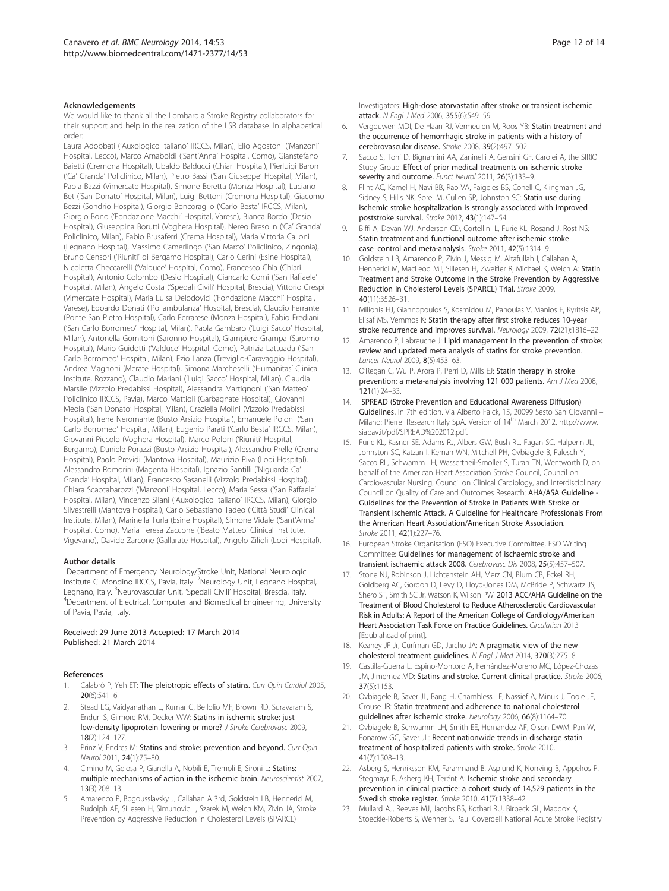#### <span id="page-11-0"></span>Acknowledgements

We would like to thank all the Lombardia Stroke Registry collaborators for their support and help in the realization of the LSR database. In alphabetical order:

Laura Adobbati ('Auxologico Italiano' IRCCS, Milan), Elio Agostoni ('Manzoni' Hospital, Lecco), Marco Arnaboldi ('Sant'Anna' Hospital, Como), Gianstefano Baietti (Cremona Hospital), Ubaldo Balducci (Chiari Hospital), Pierluigi Baron ('Ca' Granda' Policlinico, Milan), Pietro Bassi ('San Giuseppe' Hospital, Milan), Paola Bazzi (Vimercate Hospital), Simone Beretta (Monza Hospital), Luciano Bet ('San Donato' Hospital, Milan), Luigi Bettoni (Cremona Hospital), Giacomo Bezzi (Sondrio Hospital), Giorgio Boncoraglio ('Carlo Besta' IRCCS, Milan), Giorgio Bono ('Fondazione Macchi' Hospital, Varese), Bianca Bordo (Desio Hospital), Giuseppina Borutti (Voghera Hospital), Nereo Bresolin ('Ca' Granda' Policlinico, Milan), Fabio Brusaferri (Crema Hospital), Maria Vittoria Calloni (Legnano Hospital), Massimo Camerlingo ('San Marco' Policlinico, Zingonia), Bruno Censori ('Riuniti' di Bergamo Hospital), Carlo Cerini (Esine Hospital), Nicoletta Checcarelli ('Valduce' Hospital, Como), Francesco Chia (Chiari Hospital), Antonio Colombo (Desio Hospital), Giancarlo Comi ('San Raffaele' Hospital, Milan), Angelo Costa ('Spedali Civili' Hospital, Brescia), Vittorio Crespi (Vimercate Hospital), Maria Luisa Delodovici ('Fondazione Macchi' Hospital, Varese), Edoardo Donati ('Poliambulanza' Hospital, Brescia), Claudio Ferrante (Ponte San Pietro Hospital), Carlo Ferrarese (Monza Hospital), Fabio Frediani ('San Carlo Borromeo' Hospital, Milan), Paola Gambaro ('Luigi Sacco' Hospital, Milan), Antonella Gomitoni (Saronno Hospital), Giampiero Grampa (Saronno Hospital), Mario Guidotti ('Valduce' Hospital, Como), Patrizia Lattuada ('San Carlo Borromeo' Hospital, Milan), Ezio Lanza (Treviglio-Caravaggio Hospital), Andrea Magnoni (Merate Hospital), Simona Marcheselli ('Humanitas' Clinical Institute, Rozzano), Claudio Mariani ('Luigi Sacco' Hospital, Milan), Claudia Marsile (Vizzolo Predabissi Hospital), Alessandra Martignoni ('San Matteo' Policlinico IRCCS, Pavia), Marco Mattioli (Garbagnate Hospital), Giovanni Meola ('San Donato' Hospital, Milan), Graziella Molini (Vizzolo Predabissi Hospital), Irene Neromante (Busto Arsizio Hospital), Emanuele Poloni ('San Carlo Borromeo' Hospital, Milan), Eugenio Parati ('Carlo Besta' IRCCS, Milan), Giovanni Piccolo (Voghera Hospital), Marco Poloni ('Riuniti' Hospital, Bergamo), Daniele Porazzi (Busto Arsizio Hospital), Alessandro Prelle (Crema Hospital), Paolo Previdi (Mantova Hospital), Maurizio Riva (Lodi Hospital), Alessandro Romorini (Magenta Hospital), Ignazio Santilli ('Niguarda Ca' Granda' Hospital, Milan), Francesco Sasanelli (Vizzolo Predabissi Hospital), Chiara Scaccabarozzi ('Manzoni' Hospital, Lecco), Maria Sessa ('San Raffaele' Hospital, Milan), Vincenzo Silani ('Auxologico Italiano' IRCCS, Milan), Giorgio Silvestrelli (Mantova Hospital), Carlo Sebastiano Tadeo ('Città Studi' Clinical Institute, Milan), Marinella Turla (Esine Hospital), Simone Vidale ('Sant'Anna' Hospital, Como), Maria Teresa Zaccone ('Beato Matteo' Clinical Institute, Vigevano), Davide Zarcone (Gallarate Hospital), Angelo Zilioli (Lodi Hospital).

#### Author details

<sup>1</sup>Department of Emergency Neurology/Stroke Unit, National Neurologic Institute C. Mondino IRCCS, Pavia, Italy. <sup>2</sup>Neurology Unit, Legnano Hospital, Legnano, Italy. <sup>3</sup>Neurovascular Unit, 'Spedali Civili' Hospital, Brescia, Italy.<br><sup>4</sup>Department of Floctrical, Computer and Biomodical Engineering, Unive <sup>4</sup>Department of Electrical, Computer and Biomedical Engineering, University of Pavia, Pavia, Italy.

Received: 29 June 2013 Accepted: 17 March 2014 Published: 21 March 2014

#### References

- Calabrò P, Yeh ET: The pleiotropic effects of statins. Curr Opin Cardiol 2005, 20(6):541–6.
- Stead LG, Vaidyanathan L, Kumar G, Bellolio MF, Brown RD, Suravaram S, Enduri S, Gilmore RM, Decker WW: Statins in ischemic stroke: just low-density lipoprotein lowering or more? J Stroke Cerebrovasc 2009, 18(2):124–127.
- 3. Prinz V, Endres M: Statins and stroke: prevention and beyond. Curr Opin Neurol 2011, 24(1):75–80.
- Cimino M, Gelosa P, Gianella A, Nobili E, Tremoli E, Sironi L: Statins: multiple mechanisms of action in the ischemic brain. Neuroscientist 2007, 13(3):208–13.
- 5. Amarenco P, Bogousslavsky J, Callahan A 3rd, Goldstein LB, Hennerici M, Rudolph AE, Sillesen H, Simunovic L, Szarek M, Welch KM, Zivin JA, Stroke Prevention by Aggressive Reduction in Cholesterol Levels (SPARCL)

Investigators: High-dose atorvastatin after stroke or transient ischemic attack. N Engl J Med 2006, 355(6):549–59.

- 6. Vergouwen MDI, De Haan RJ, Vermeulen M, Roos YB: Statin treatment and the occurrence of hemorrhagic stroke in patients with a history of cerebrovascular disease. Stroke 2008, 39(2):497–502.
- 7. Sacco S, Toni D, Bignamini AA, Zaninelli A, Gensini GF, Carolei A, the SIRIO Study Group: Effect of prior medical treatments on ischemic stroke severity and outcome. Funct Neurol 2011, 26(3):133-9.
- 8. Flint AC, Kamel H, Navi BB, Rao VA, Faigeles BS, Conell C, Klingman JG, Sidney S, Hills NK, Sorel M, Cullen SP, Johnston SC: Statin use during ischemic stroke hospitalization is strongly associated with improved poststroke survival. Stroke 2012, 43(1):147–54.
- Biffi A, Devan WJ, Anderson CD, Cortellini L, Furie KL, Rosand J, Rost NS: Statin treatment and functional outcome after ischemic stroke case–control and meta-analysis. Stroke 2011, 42(5):1314–9.
- 10. Goldstein LB, Amarenco P, Zivin J, Messig M, Altafullah I, Callahan A, Hennerici M, MacLeod MJ, Sillesen H, Zweifler R, Michael K, Welch A: Statin Treatment and Stroke Outcome in the Stroke Prevention by Aggressive Reduction in Cholesterol Levels (SPARCL) Trial. Stroke 2009, 40(11):3526–31.
- 11. Milionis HJ, Giannopoulos S, Kosmidou M, Panoulas V, Manios E, Kyritsis AP, Elisaf MS, Vemmos K: Statin therapy after first stroke reduces 10-year stroke recurrence and improves survival. Neurology 2009, 72(21):1816–22.
- 12. Amarenco P, Labreuche J: Lipid management in the prevention of stroke: review and updated meta analysis of statins for stroke prevention. Lancet Neurol 2009, 8(5):453–63.
- 13. O'Regan C, Wu P, Arora P, Perri D, Mills EJ: Statin therapy in stroke prevention: a meta-analysis involving 121 000 patients. Am J Med 2008, 121(1):24–33.
- 14. SPREAD (Stroke Prevention and Educational Awareness Diffusion) Guidelines. In 7th edition. Via Alberto Falck, 15, 20099 Sesto San Giovanni – Milano: Pierrel Research Italy SpA. Version of 14th March 2012. [http://www.](http://www.siapav.it/pdf/SPREAD%202012.pdf) [siapav.it/pdf/SPREAD%202012.pdf](http://www.siapav.it/pdf/SPREAD%202012.pdf).
- 15. Furie KL, Kasner SE, Adams RJ, Albers GW, Bush RL, Fagan SC, Halperin JL, Johnston SC, Katzan I, Kernan WN, Mitchell PH, Ovbiagele B, Palesch Y, Sacco RL, Schwamm LH, Wassertheil-Smoller S, Turan TN, Wentworth D, on behalf of the American Heart Association Stroke Council, Council on Cardiovascular Nursing, Council on Clinical Cardiology, and Interdisciplinary Council on Quality of Care and Outcomes Research: AHA/ASA Guideline - Guidelines for the Prevention of Stroke in Patients With Stroke or Transient Ischemic Attack. A Guideline for Healthcare Professionals From the American Heart Association/American Stroke Association. Stroke 2011, 42(1):227–76.
- 16. European Stroke Organisation (ESO) Executive Committee, ESO Writing Committee: Guidelines for management of ischaemic stroke and transient ischaemic attack 2008. Cerebrovasc Dis 2008, 25(5):457–507.
- 17. Stone NJ, Robinson J, Lichtenstein AH, Merz CN, Blum CB, Eckel RH, Goldberg AC, Gordon D, Levy D, Lloyd-Jones DM, McBride P, Schwartz JS, Shero ST, Smith SC Jr, Watson K, Wilson PW: 2013 ACC/AHA Guideline on the Treatment of Blood Cholesterol to Reduce Atherosclerotic Cardiovascular Risk in Adults: A Report of the American College of Cardiology/American Heart Association Task Force on Practice Guidelines. Circulation 2013 [Epub ahead of print].
- 18. Keaney JF Jr, Curfman GD, Jarcho JA: A pragmatic view of the new cholesterol treatment guidelines. N Engl J Med 2014, 370(3):275–8.
- 19. Castilla-Guerra L, Espino-Montoro A, Fernández-Moreno MC, López-Chozas JM, Jimernez MD: Statins and stroke. Current clinical practice. Stroke 2006, 37(5):1153.
- 20. Ovbiagele B, Saver JL, Bang H, Chambless LE, Nassief A, Minuk J, Toole JF, Crouse JR: Statin treatment and adherence to national cholesterol guidelines after ischemic stroke. Neurology 2006, 66(8):1164–70.
- 21. Ovbiagele B, Schwamm LH, Smith EE, Hernandez AF, Olson DWM, Pan W, Fonarow GC, Saver JL: Recent nationwide trends in discharge statin treatment of hospitalized patients with stroke. Stroke 2010, 41(7):1508–13.
- 22. Asberg S, Henriksson KM, Farahmand B, Asplund K, Norrving B, Appelros P, Stegmayr B, Asberg KH, Terént A: Ischemic stroke and secondary prevention in clinical practice: a cohort study of 14,529 patients in the Swedish stroke register. Stroke 2010, 41(7):1338–42.
- 23. Mullard AJ, Reeves MJ, Jacobs BS, Kothari RU, Birbeck GL, Maddox K, Stoeckle-Roberts S, Wehner S, Paul Coverdell National Acute Stroke Registry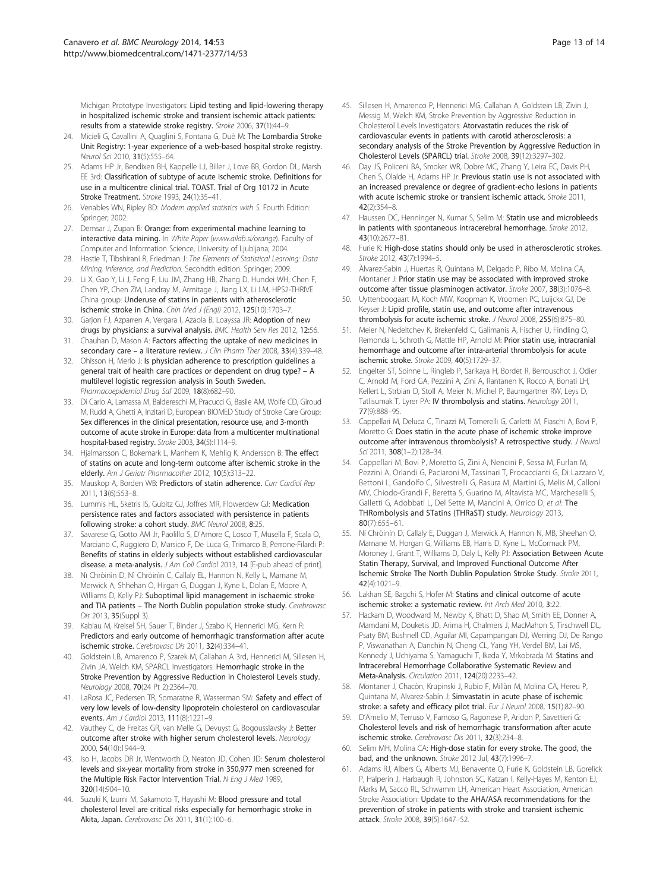<span id="page-12-0"></span>Michigan Prototype Investigators: Lipid testing and lipid-lowering therapy in hospitalized ischemic stroke and transient ischemic attack patients: results from a statewide stroke registry. Stroke 2006, 37(1):44–9.

- 24. Micieli G, Cavallini A, Quaglini S, Fontana G, Duè M: The Lombardia Stroke Unit Registry: 1-year experience of a web-based hospital stroke registry. Neurol Sci 2010, 31(5):555-64.
- 25. Adams HP Jr, Bendixen BH, Kappelle LJ, Biller J, Love BB, Gordon DL, Marsh EE 3rd: Classification of subtype of acute ischemic stroke. Definitions for use in a multicentre clinical trial. TOAST. Trial of Org 10172 in Acute Stroke Treatment. Stroke 1993, 24(1):35–41.
- 26. Venables WN, Ripley BD: Modern applied statistics with S. Fourth Edition: Springer; 2002.
- 27. Demsar J, Zupan B: Orange: from experimental machine learning to interactive data mining. In White Paper ([www.ailab.si/orange](http://www.ailab.si/orange)). Faculty of Computer and Information Science, University of Ljubljana; 2004.
- 28. Hastie T, Tibshirani R, Friedman J: The Elements of Statistical Learning: Data Mining, Inference, and Prediction. Secondth edition. Springer; 2009.
- 29. Li X, Gao Y, Li J, Feng F, Liu JM, Zhang HB, Zhang D, Hundei WH, Chen F, Chen YP, Chen ZM, Landray M, Armitage J, Jiang LX, Li LM, HPS2-THRIVE China group: Underuse of statins in patients with atherosclerotic ischemic stroke in China. Chin Med J (Engl) 2012, 125(10):1703–7.
- 30. Garjon FJ, Azparren A, Vergara I, Azaola B, Loayssa JR: Adoption of new drugs by physicians: a survival analysis. BMC Health Serv Res 2012, 12:56.
- 31. Chauhan D, Mason A: Factors affecting the uptake of new medicines in secondary care – a literature review. J Clin Pharm Ther 2008, 33(4):339-48.
- 32. Ohlsson H, Merlo J: Is physician adherence to prescription guidelines a general trait of health care practices or dependent on drug type? – A multilevel logistic regression analysis in South Sweden. Pharmacoepidemiol Drug Saf 2009, 18(8):682–90.
- 33. Di Carlo A, Lamassa M, Baldereschi M, Pracucci G, Basile AM, Wolfe CD, Giroud M, Rudd A, Ghetti A, Inzitari D, European BIOMED Study of Stroke Care Group: Sex differences in the clinical presentation, resource use, and 3-month outcome of acute stroke in Europe: data from a multicenter multinational hospital-based registry. Stroke 2003, 34(5):1114-9.
- 34. Hjalmarsson C, Bokemark L, Manhem K, Mehlig K, Andersson B: The effect of statins on acute and long-term outcome after ischemic stroke in the elderly. Am J Geriatr Pharmacother 2012, 10(5):313–22.
- 35. Mauskop A, Borden WB: Predictors of statin adherence. Curr Cardiol Rep 2011, 13(6):553–8.
- 36. Lummis HL, Sketris IS, Gubitz GJ, Joffres MR, Flowerdew GJ: Medication persistence rates and factors associated with persistence in patients following stroke: a cohort study. BMC Neurol 2008, 8:25.
- 37. Savarese G, Gotto AM Jr, Paolillo S, D'Amore C, Losco T, Musella F, Scala O, Marciano C, Ruggiero D, Marsico F, De Luca G, Trimarco B, Perrone-Filardi P: Benefits of statins in elderly subjects without established cardiovascular disease. a meta-analysis. J Am Coll Cardiol 2013, 14 [E-pub ahead of print].
- 38. Nì Chròinìn D, Nì Chròinìn C, Callaly EL, Hannon N, Kelly L, Marnane M, Merwick A, Shhehan O, Hirgan G, Duggan J, Kyne L, Dolan E, Moore A, Williams D, Kelly PJ: Suboptimal lipid management in ischaemic stroke and TIA patients – The North Dublin population stroke study. Cerebrovasc Dis 2013, 35(Suppl 3).
- 39. Kablau M, Kreisel SH, Sauer T, Binder J, Szabo K, Hennerici MG, Kern R: Predictors and early outcome of hemorrhagic transformation after acute ischemic stroke. Cerebrovasc Dis 2011, 32(4):334–41.
- 40. Goldstein LB, Amarenco P, Szarek M, Callahan A 3rd, Hennerici M, Sillesen H, Zivin JA, Welch KM, SPARCL Investigators: Hemorrhagic stroke in the Stroke Prevention by Aggressive Reduction in Cholesterol Levels study. Neurology 2008, 70(24 Pt 2):2364–70.
- 41. LaRosa JC, Pedersen TR, Somaratne R, Wasserman SM: Safety and effect of very low levels of low-density lipoprotein cholesterol on cardiovascular events. Am J Cardiol 2013, 111(8):1221–9.
- 42. Vauthey C, de Freitas GR, van Melle G, Devuyst G, Bogousslavsky J: Better outcome after stroke with higher serum cholesterol levels. Neurology 2000, 54(10):1944–9.
- 43. Iso H, Jacobs DR Jr, Wentworth D, Neaton JD, Cohen JD: Serum cholesterol levels and six-year mortality from stroke in 350,977 men screened for the Multiple Risk Factor Intervention Trial. N Eng J Med 1989, 320(14):904–10.
- 44. Suzuki K, Izumi M, Sakamoto T, Hayashi M: Blood pressure and total cholesterol level are critical risks especially for hemorrhagic stroke in Akita, Japan. Cerebrovasc Dis 2011, 31(1):100–6.
- 45. Sillesen H, Amarenco P, Hennerici MG, Callahan A, Goldstein LB, Zivin J, Messig M, Welch KM, Stroke Prevention by Aggressive Reduction in Cholesterol Levels Investigators: Atorvastatin reduces the risk of cardiovascular events in patients with carotid atherosclerosis: a secondary analysis of the Stroke Prevention by Aggressive Reduction in Cholesterol Levels (SPARCL) trial. Stroke 2008, 39(12):3297–302.
- 46. Day JS, Policeni BA, Smoker WR, Dobre MC, Zhang Y, Leira EC, Davis PH, Chen S, Olalde H, Adams HP Jr: Previous statin use is not associated with an increased prevalence or degree of gradient-echo lesions in patients with acute ischemic stroke or transient ischemic attack. Stroke 2011, 42(2):354–8.
- 47. Haussen DC, Henninger N, Kumar S, Selim M: Statin use and microbleeds in patients with spontaneous intracerebral hemorrhage. Stroke 2012, 43(10):2677–81.
- 48. Furie K: High-dose statins should only be used in atherosclerotic strokes. Stroke 2012, 43(7):1994–5.
- 49. Àlvarez-Sabìn J, Huertas R, Quintana M, Delgado P, Ribo M, Molina CA, Montaner J: Prior statin use may be associated with improved stroke outcome after tissue plasminogen activator. Stroke 2007, 38(3):1076–8.
- 50. Uyttenboogaart M, Koch MW, Koopman K, Vroomen PC, Luijckx GJ, De Keyser J: Lipid profile, statin use, and outcome after intravenous thrombolysis for acute ischemic stroke. J Neurol 2008, 255(6):875-80.
- 51. Meier N, Nedeltchev K, Brekenfeld C, Galimanis A, Fischer U, Findling O, Remonda L, Schroth G, Mattle HP, Arnold M: Prior statin use, intracranial hemorrhage and outcome after intra-arterial thrombolysis for acute ischemic stroke. Stroke 2009, 40(5):1729–37.
- 52. Engelter ST, Soinne L, Ringleb P, Sarikaya H, Bordet R, Berrouschot J, Odier C, Arnold M, Ford GA, Pezzini A, Zini A, Rantanen K, Rocco A, Bonati LH, Kellert L, Strbian D, Stoll A, Meier N, Michel P, Baumgartner RW, Leys D, Tatlisumak T, Lyrer PA: IV thrombolysis and statins. Neurology 2011, 77(9):888–95.
- 53. Cappellari M, Deluca C, Tinazzi M, Tomerelli G, Carletti M, Fiaschi A, Bovi P, Moretto G: Does statin in the acute phase of ischemic stroke improve outcome after intravenous thrombolysis? A retrospective study. J Neurol  $Sci$  2011, 308(1-2):128-34.
- 54. Cappellari M, Bovi P, Moretto G, Zini A, Nencini P, Sessa M, Furlan M, Pezzini A, Orlandi G, Paciaroni M, Tassinari T, Procaccianti G, Di Lazzaro V, Bettoni L, Gandolfo C, Silvestrelli G, Rasura M, Martini G, Melis M, Calloni MV, Chiodo-Grandi F, Beretta S, Guarino M, Altavista MC, Marcheselli S, Galletti G, Adobbati L, Del Sette M, Mancini A, Orrico D, et al: The THRombolysis and STatins (THRaST) study. Neurology 2013, 80(7):655–61.
- 55. Ní Chròinín D, Callaly E, Duggan J, Merwick A, Hannon N, MB, Sheehan O, Marnane M, Horgan G, Williams EB, Harris D, Kyne L, McCormack PM, Moroney J, Grant T, Williams D, Daly L, Kelly PJ: Association Between Acute Statin Therapy, Survival, and Improved Functional Outcome After Ischemic Stroke The North Dublin Population Stroke Study. Stroke 2011, 42(4):1021–9.
- 56. Lakhan SE, Bagchi S, Hofer M: Statins and clinical outcome of acute ischemic stroke: a systematic review. Int Arch Med 2010, 3:22
- 57. Hackam D, Woodward M, Newby K, Bhatt D, Shao M, Smith EE, Donner A, Mamdani M, Douketis JD, Arima H, Chalmers J, MacMahon S, Tirschwell DL, Psaty BM, Bushnell CD, Aguilar MI, Capampangan DJ, Werring DJ, De Rango P, Viswanathan A, Danchin N, Cheng CL, Yang YH, Verdel BM, Lai MS, Kennedy J, Uchiyama S, Yamaguchi T, Ikeda Y, Mrkobrada M: Statins and Intracerebral Hemorrhage Collaborative Systematic Review and Meta-Analysis. Circulation 2011, 124(20):2233–42.
- 58. Montaner J, Chacòn, Krupinski J, Rubio F, Millàn M, Molina CA, Hereu P, Quintana M, Alvarez-Sabín J: Simvastatin in acute phase of ischemic stroke: a safety and efficacy pilot trial. Eur J Neurol 2008, 15(1):82-90.
- 59. D'Amelio M, Terruso V, Famoso G, Ragonese P, Aridon P, Savettieri G: Cholesterol levels and risk of hemorrhagic transformation after acute ischemic stroke. Cerebrovasc Dis 2011, 32(3):234–8.
- 60. Selim MH, Molina CA: High-dose statin for every stroke. The good, the bad, and the unknown. Stroke 2012 Jul, 43(7):1996–7.
- Adams RJ, Albers G, Alberts MJ, Benavente O, Furie K, Goldstein LB, Gorelick P, Halperin J, Harbaugh R, Johnston SC, Katzan I, Kelly-Hayes M, Kenton EJ, Marks M, Sacco RL, Schwamm LH, American Heart Association, American Stroke Association: Update to the AHA/ASA recommendations for the prevention of stroke in patients with stroke and transient ischemic attack. Stroke 2008, 39(5):1647–52.